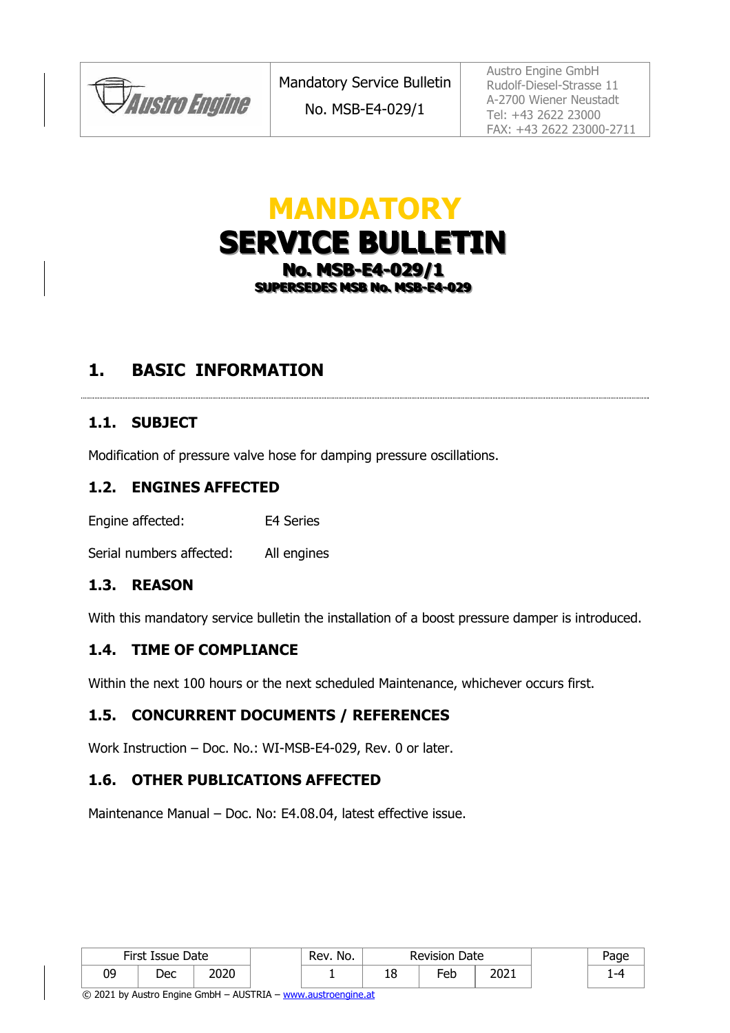**JAustro Engine** 

No. MSB-E4-029/1

Austro Engine GmbH Rudolf-Diesel-Strasse 11 A-2700 Wiener Neustadt Tel: +43 2622 23000 FAX: +43 2622 23000-2711

# **MANDATORY SERVICE BULLETIN No. MSB-E4-029/1** SUPERSEDES MSB No. MSB-E4-029

## **1. BASIC INFORMATION**

#### **1.1. SUBJECT**

Modification of pressure valve hose for damping pressure oscillations.

#### **1.2. ENGINES AFFECTED**

Engine affected: E4 Series

Serial numbers affected: All engines

#### **1.3. REASON**

With this mandatory service bulletin the installation of a boost pressure damper is introduced.

#### **1.4. TIME OF COMPLIANCE**

Within the next 100 hours or the next scheduled Maintenance, whichever occurs first.

#### **1.5. CONCURRENT DOCUMENTS / REFERENCES**

Work Instruction – Doc. No.: WI-MSB-E4-029, Rev. 0 or later.

#### **1.6. OTHER PUBLICATIONS AFFECTED**

Maintenance Manual – Doc. No: E4.08.04, latest effective issue.

| First Issue Date |     |              | No.<br>Rev. | Date<br><b>Revision</b> |                 |      | 'age |
|------------------|-----|--------------|-------------|-------------------------|-----------------|------|------|
| 09               | Dec | חרחר<br>∠∪∠∪ |             | ᅩ                       | Fe <sub>b</sub> | 2021 |      |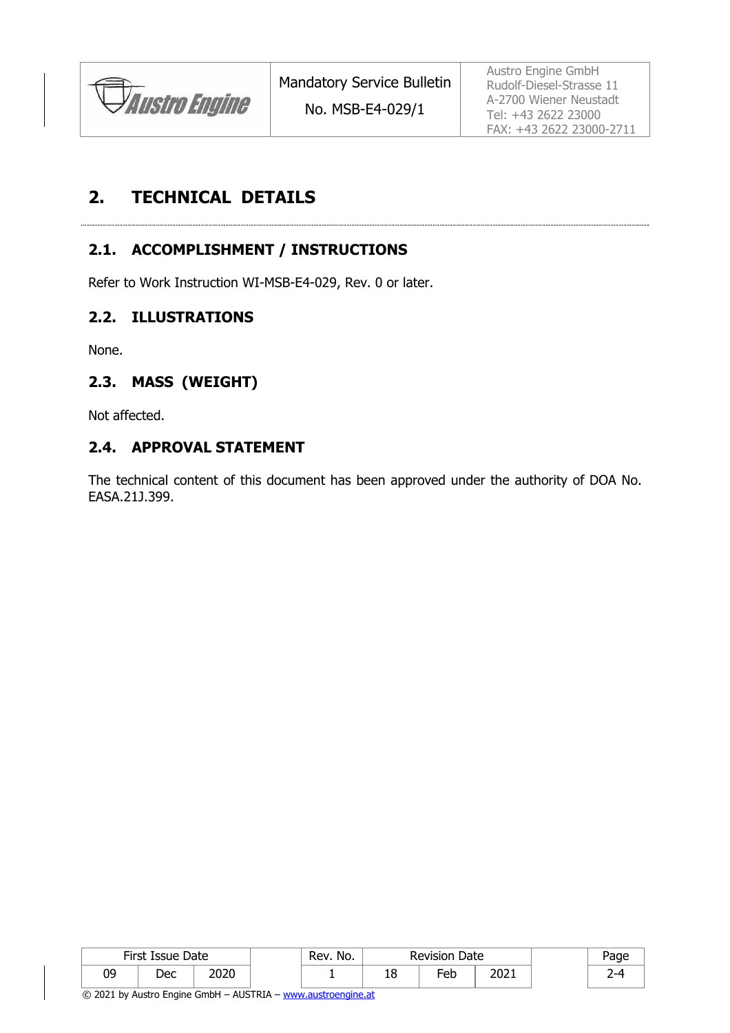

No. MSB-E4-029/1

Austro Engine GmbH Rudolf-Diesel-Strasse 11 A-2700 Wiener Neustadt Tel: +43 2622 23000 FAX: +43 2622 23000-2711

## **2. TECHNICAL DETAILS**

### **2.1. ACCOMPLISHMENT / INSTRUCTIONS**

Refer to Work Instruction WI-MSB-E4-029, Rev. 0 or later.

#### **2.2. ILLUSTRATIONS**

None.

#### **2.3. MASS (WEIGHT)**

Not affected.

#### **2.4. APPROVAL STATEMENT**

The technical content of this document has been approved under the authority of DOA No. EASA.21J.399.

| First Issue Date |     |      | No.<br>Rev. | <b>Revision Date</b> |     |      | Page |
|------------------|-----|------|-------------|----------------------|-----|------|------|
| 09               | Dec | 2020 |             | ТO                   | Eeb | 2021 | --   |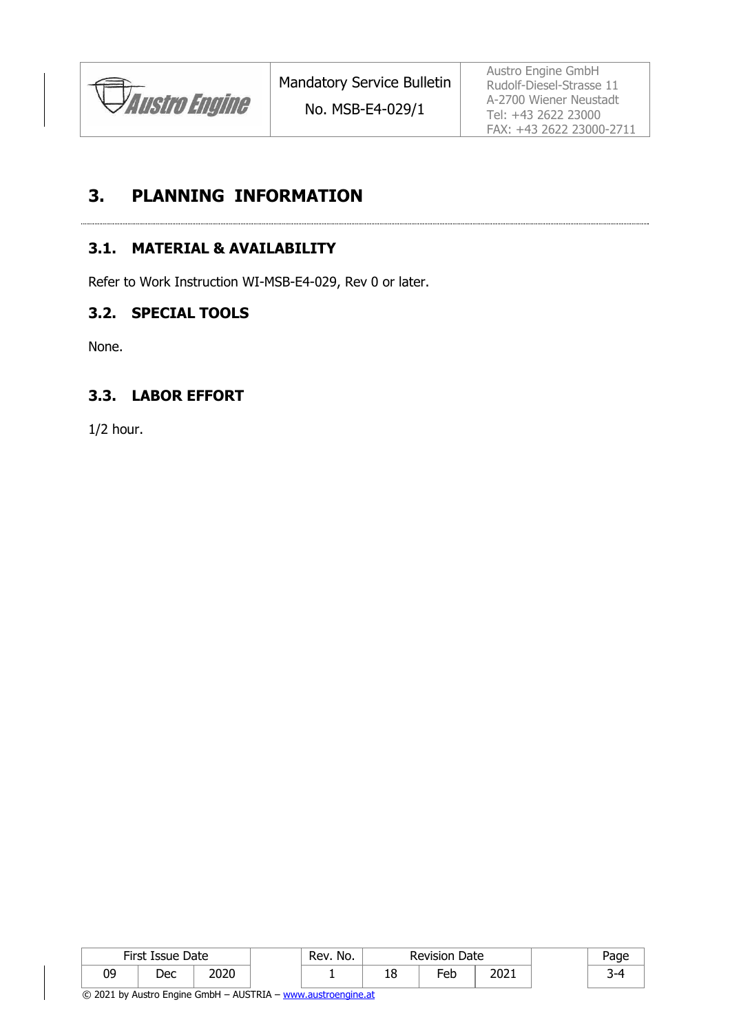

No. MSB-E4-029/1

Austro Engine GmbH Rudolf-Diesel-Strasse 11 A-2700 Wiener Neustadt Tel: +43 2622 23000 FAX: +43 2622 23000-2711

### **3. PLANNING INFORMATION**

#### **3.1. MATERIAL & AVAILABILITY**

Refer to Work Instruction WI-MSB-E4-029, Rev 0 or later.

#### **3.2. SPECIAL TOOLS**

None.

#### **3.3. LABOR EFFORT**

1/2 hour.

| First Issue Date |     |      | No.<br>Rev. | <b>Revision Date</b> |        |      |  |
|------------------|-----|------|-------------|----------------------|--------|------|--|
| 09               | Dec | 2020 |             | ΤO                   | $E$ eb | 2021 |  |